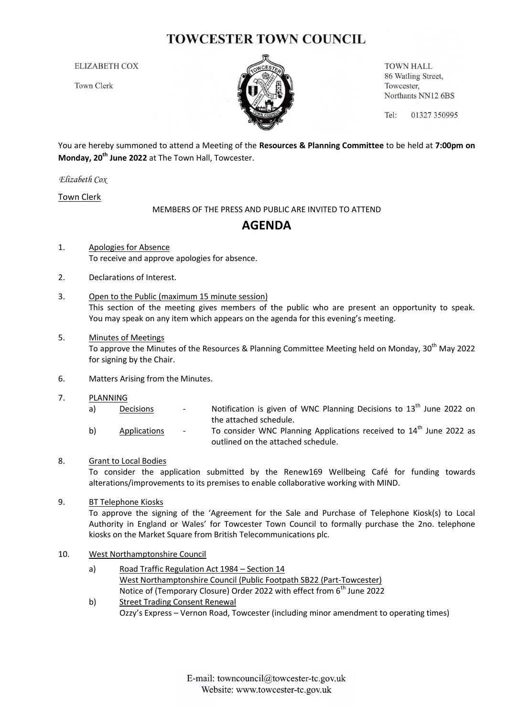# **TOWCESTER TOWN COUNCIL**

**ELIZABETH COX** 

**Town Clerk** 



**TOWN HALL** 86 Watling Street, Towcester, Northants NN12 6BS

Tel: 01327 350995

You are hereby summoned to attend a Meeting of the **Resources & Planning Committee** to be held at **7:00pm on Monday, 20th June 2022** at The Town Hall, Towcester.

*Elizabeth Cox*

Town Clerk

MEMBERS OF THE PRESS AND PUBLIC ARE INVITED TO ATTEND

## **AGENDA**

- 1. Apologies for Absence To receive and approve apologies for absence.
- 2. Declarations of Interest.
- 3. Open to the Public (maximum 15 minute session) This section of the meeting gives members of the public who are present an opportunity to speak. You may speak on any item which appears on the agenda for this evening's meeting.
- 5. Minutes of Meetings To approve the Minutes of the Resources & Planning Committee Meeting held on Monday, 30<sup>th</sup> May 2022 for signing by the Chair.
- 6. Matters Arising from the Minutes.
- 7. PLANNING
	- a) Decisions Notification is given of WNC Planning Decisions to  $13<sup>th</sup>$  June 2022 on the attached schedule.
	- b) Applications To consider WNC Planning Applications received to  $14<sup>th</sup>$  June 2022 as outlined on the attached schedule.

### 8. Grant to Local Bodies

To consider the application submitted by the Renew169 Wellbeing Café for funding towards alterations/improvements to its premises to enable collaborative working with MIND.

### 9. BT Telephone Kiosks

To approve the signing of the 'Agreement for the Sale and Purchase of Telephone Kiosk(s) to Local Authority in England or Wales' for Towcester Town Council to formally purchase the 2no. telephone kiosks on the Market Square from British Telecommunications plc.

#### 10. West Northamptonshire Council

- a) Road Traffic Regulation Act 1984 Section 14 West Northamptonshire Council (Public Footpath SB22 (Part-Towcester) Notice of (Temporary Closure) Order 2022 with effect from 6<sup>th</sup> June 2022
- b) Street Trading Consent Renewal Ozzy's Express – Vernon Road, Towcester (including minor amendment to operating times)